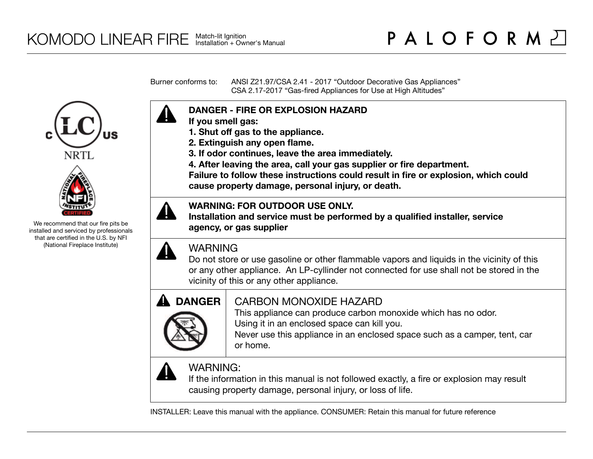Burner conforms to: ANSI Z21.97/CSA 2.41 - 2017 "Outdoor Decorative Gas Appliances" CSA 2.17-2017 "Gas-fired Appliances for Use at High Altitudes"

### **DANGER - FIRE OR EXPLOSION HAZARD If you smell gas:**

- **1. Shut off gas to the appliance.**
- **2. Extinguish any open flame.**
- **3. If odor continues, leave the area immediately.**
- **4. After leaving the area, call your gas supplier or fire department.**

**Failure to follow these instructions could result in fire or explosion, which could cause property damage, personal injury, or death.**

### **WARNING: FOR OUTDOOR USE ONLY.**

**Installation and service must be performed by a qualified installer, service agency, or gas supplier**

### WARNING

Do not store or use gasoline or other flammable vapors and liquids in the vicinity of this or any other appliance. An LP-cyllinder not connected for use shall not be stored in the vicinity of this or any other appliance.

# **DANGER**

### CARBON MONOXIDE HAZARD

This appliance can produce carbon monoxide which has no odor. Using it in an enclosed space can kill you.

Never use this appliance in an enclosed space such as a camper, tent, car or home.



### WARNING:

If the information in this manual is not followed exactly, a fire or explosion may result causing property damage, personal injury, or loss of life.

INSTALLER: Leave this manual with the appliance. CONSUMER: Retain this manual for future reference





We recommend that our fire pits be installed and serviced by professionals that are certified in the U.S. by NFI (National Fireplace Institute)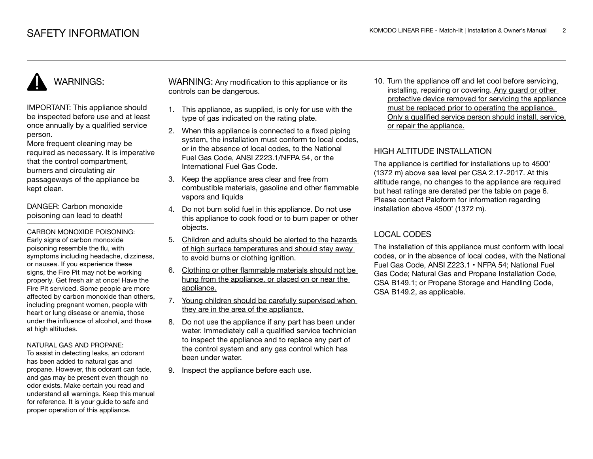### WARNINGS:

IMPORTANT: This appliance should be inspected before use and at least once annually by a qualified service person.

More frequent cleaning may be required as necessary. It is imperative that the control compartment, burners and circulating air passageways of the appliance be kept clean.

DANGER: Carbon monoxide poisoning can lead to death!

CARBON MONOXIDE POISONING: Early signs of carbon monoxide poisoning resemble the flu, with symptoms including headache, dizziness, or nausea. If you experience these signs, the Fire Pit may not be working properly. Get fresh air at once! Have the Fire Pit serviced. Some people are more affected by carbon monoxide than others, including pregnant women, people with heart or lung disease or anemia, those under the influence of alcohol, and those at high altitudes.

#### NATURAL GAS AND PROPANE:

To assist in detecting leaks, an odorant has been added to natural gas and propane. However, this odorant can fade, and gas may be present even though no odor exists. Make certain you read and understand all warnings. Keep this manual for reference. It is your guide to safe and proper operation of this appliance.

WARNING: Any modification to this appliance or its controls can be dangerous.

- 1. This appliance, as supplied, is only for use with the type of gas indicated on the rating plate.
- 2. When this appliance is connected to a fixed piping system, the installation must conform to local codes. or in the absence of local codes, to the National Fuel Gas Code, ANSI Z223.1/NFPA 54, or the International Fuel Gas Code.
- 3. Keep the appliance area clear and free from combustible materials, gasoline and other flammable vapors and liquids
- 4. Do not burn solid fuel in this appliance. Do not use this appliance to cook food or to burn paper or other objects.
- 5. Children and adults should be alerted to the hazards of high surface temperatures and should stay away to avoid burns or clothing ignition.
- 6. Clothing or other flammable materials should not be hung from the appliance, or placed on or near the appliance.
- 7. Young children should be carefully supervised when they are in the area of the appliance.
- 8. Do not use the appliance if any part has been under water. Immediately call a qualified service technician to inspect the appliance and to replace any part of the control system and any gas control which has been under water.
- 9. Inspect the appliance before each use.

10. Turn the appliance off and let cool before servicing, installing, repairing or covering. Any guard or other protective device removed for servicing the appliance must be replaced prior to operating the appliance. Only a qualified service person should install, service, or repair the appliance.

### HIGH ALTITUDE INSTALLATION

The appliance is certified for installations up to 4500' (1372 m) above sea level per CSA 2.17-2017. At this altitude range, no changes to the appliance are required but heat ratings are derated per the table on page 6. Please contact Paloform for information regarding installation above 4500' (1372 m).

### LOCAL CODES

The installation of this appliance must conform with local codes, or in the absence of local codes, with the National Fuel Gas Code, ANSI Z223.1 • NFPA 54; National Fuel Gas Code; Natural Gas and Propane Installation Code, CSA B149.1; or Propane Storage and Handling Code, CSA B149.2, as applicable.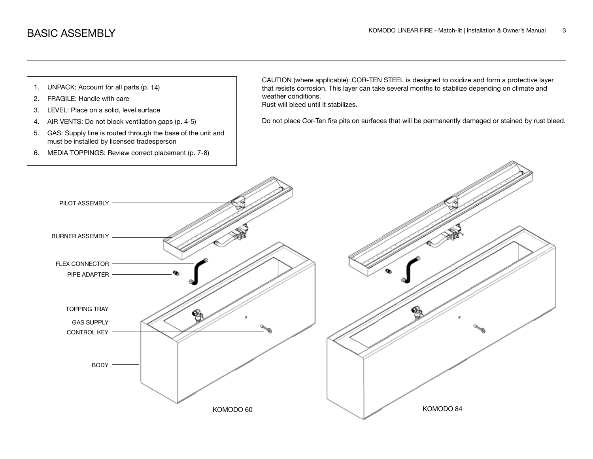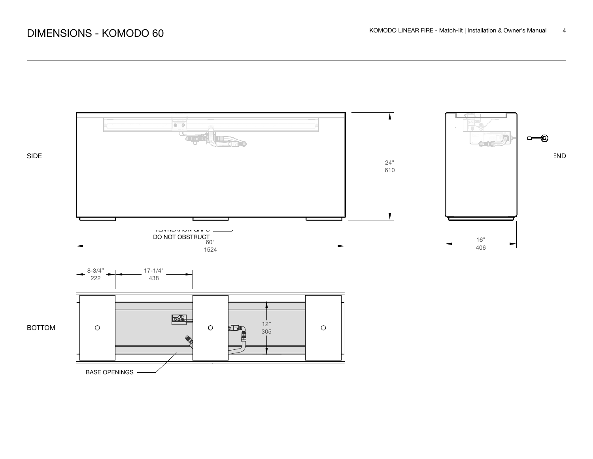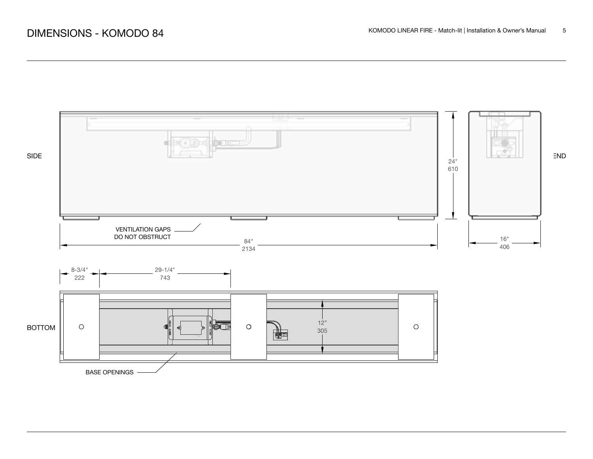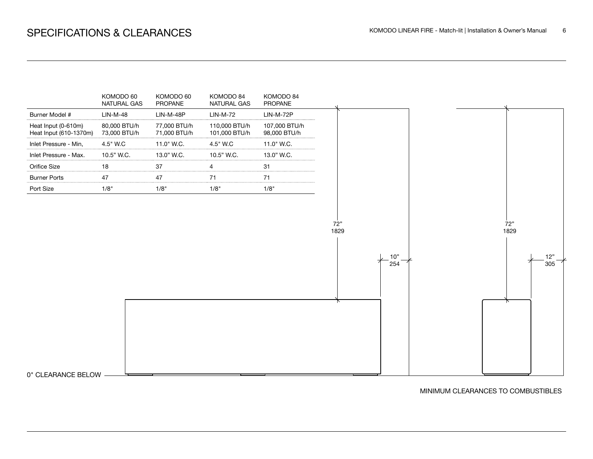

MINIMUM CLEARANCES TO COMBUSTIBLES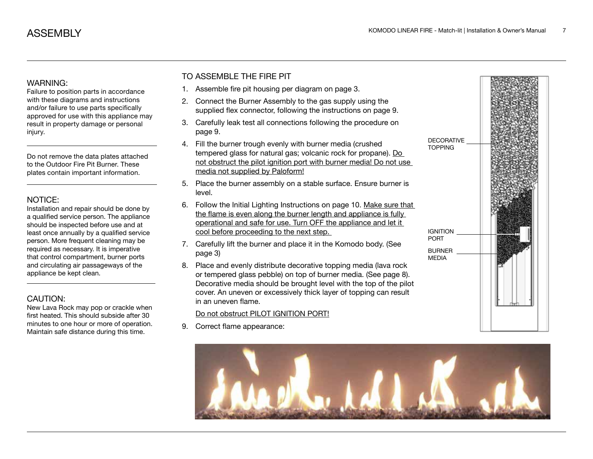### WARNING:

Failure to position parts in accordance with these diagrams and instructions and/or failure to use parts specifically approved for use with this appliance may result in property damage or personal injury.

Do not remove the data plates attached to the Outdoor Fire Pit Burner. These plates contain important information.

### NOTICE:

Installation and repair should be done by a qualified service person. The appliance should be inspected before use and at least once annually by a qualified service person. More frequent cleaning may be required as necessary. It is imperative that control compartment, burner ports and circulating air passageways of the appliance be kept clean.

### CAUTION:

New Lava Rock may pop or crackle when first heated. This should subside after 30 minutes to one hour or more of operation. Maintain safe distance during this time.

### TO ASSEMBLE THE FIRE PIT

- 1. Assemble fire pit housing per diagram on page 3.
- 2. Connect the Burner Assembly to the gas supply using the supplied flex connector, following the instructions on page 9.
- 3. Carefully leak test all connections following the procedure on page 9.
- 4. Fill the burner trough evenly with burner media (crushed tempered glass for natural gas; volcanic rock for propane). Do not obstruct the pilot ignition port with burner media! Do not use media not supplied by Paloform!
- 5. Place the burner assembly on a stable surface. Ensure burner is level.
- 6. Follow the Initial Lighting Instructions on page 10. Make sure that the flame is even along the burner length and appliance is fully operational and safe for use. Turn OFF the appliance and let it cool before proceeding to the next step.
- 7. Carefully lift the burner and place it in the Komodo body. (See page 3)
- 8. Place and evenly distribute decorative topping media (lava rock or tempered glass pebble) on top of burner media. (See page 8). Decorative media should be brought level with the top of the pilot cover. An uneven or excessively thick layer of topping can result in an uneven flame.

### Do not obstruct PILOT IGNITION PORT!

9. Correct flame appearance:



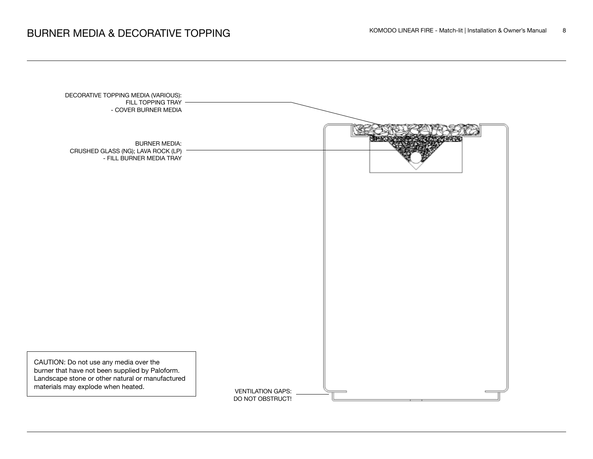### KOMODO LINEAR FIRE - Match-lit | Installation & Owner's Manual 8

| DECORATIVE TOPPING MEDIA (VARIOUS):<br>FILL TOPPING TRAY<br>- COVER BURNER MEDIA                                                          |                                              |  |
|-------------------------------------------------------------------------------------------------------------------------------------------|----------------------------------------------|--|
| <b>BURNER MEDIA:</b><br>CRUSHED GLASS (NG); LAVA ROCK (LP)<br>- FILL BURNER MEDIA TRAY                                                    |                                              |  |
|                                                                                                                                           |                                              |  |
|                                                                                                                                           |                                              |  |
| CAUTION: Do not use any media over the                                                                                                    |                                              |  |
| burner that have not been supplied by Paloform.<br>Landscape stone or other natural or manufactured<br>materials may explode when heated. | <b>VENTILATION GAPS:</b><br>DO NOT OBSTRUCT! |  |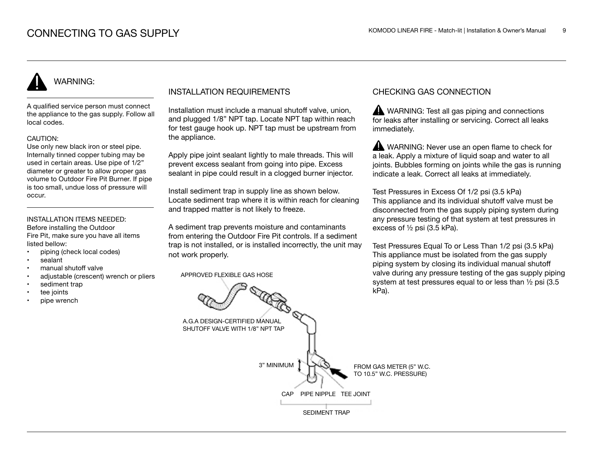## WARNING:

A qualified service person must connect the appliance to the gas supply. Follow all local codes.

#### CAUTION:

Use only new black iron or steel pipe. Internally tinned copper tubing may be used in certain areas. Use pipe of 1/2" diameter or greater to allow proper gas volume to Outdoor Fire Pit Burner. If pipe is too small, undue loss of pressure will occur.

#### INSTALLATION ITEMS NEEDED: Before installing the Outdoor

Fire Pit, make sure you have all items listed bellow:

- piping (check local codes)
- sealant
- manual shutoff valve
- adjustable (crescent) wrench or pliers
- sediment trap
- tee joints
- pipe wrench

### INSTALLATION REQUIREMENTS

Installation must include a manual shutoff valve, union, and plugged 1/8" NPT tap. Locate NPT tap within reach for test gauge hook up. NPT tap must be upstream from the appliance.

Apply pipe joint sealant lightly to male threads. This will prevent excess sealant from going into pipe. Excess sealant in pipe could result in a clogged burner injector.

Install sediment trap in supply line as shown below. Locate sediment trap where it is within reach for cleaning and trapped matter is not likely to freeze.

A sediment trap prevents moisture and contaminants from entering the Outdoor Fire Pit controls. If a sediment trap is not installed, or is installed incorrectly, the unit may not work properly.

APPROVED FLEXIBLE GAS HOSE

### CHECKING GAS CONNECTION

WARNING: Test all gas piping and connections for leaks after installing or servicing. Correct all leaks immediately.

WARNING: Never use an open flame to check for a leak. Apply a mixture of liquid soap and water to all joints. Bubbles forming on joints while the gas is running indicate a leak. Correct all leaks at immediately.

Test Pressures in Excess Of 1/2 psi (3.5 kPa) This appliance and its individual shutoff valve must be disconnected from the gas supply piping system during any pressure testing of that system at test pressures in excess of ½ psi (3.5 kPa).

Test Pressures Equal To or Less Than 1/2 psi (3.5 kPa) This appliance must be isolated from the gas supply piping system by closing its individual manual shutoff valve during any pressure testing of the gas supply piping system at test pressures equal to or less than ½ psi (3.5 kPa).

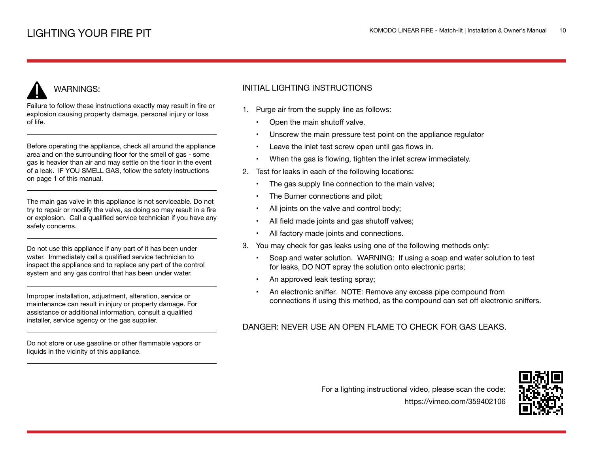### WARNINGS:

Failure to follow these instructions exactly may result in fire or explosion causing property damage, personal injury or loss of life.

Before operating the appliance, check all around the appliance area and on the surrounding floor for the smell of gas - some gas is heavier than air and may settle on the floor in the event of a leak. IF YOU SMELL GAS, follow the safety instructions on page 1 of this manual.

The main gas valve in this appliance is not serviceable. Do not try to repair or modify the valve, as doing so may result in a fire or explosion. Call a qualified service technician if you have any safety concerns.

Do not use this appliance if any part of it has been under water. Immediately call a qualified service technician to inspect the appliance and to replace any part of the control system and any gas control that has been under water.

Improper installation, adjustment, alteration, service or maintenance can result in injury or property damage. For assistance or additional information, consult a qualified installer, service agency or the gas supplier.

Do not store or use gasoline or other flammable vapors or liquids in the vicinity of this appliance.

### INITIAL LIGHTING INSTRUCTIONS

- 1. Purge air from the supply line as follows:
	- Open the main shutoff valve.
	- Unscrew the main pressure test point on the appliance regulator
	- Leave the inlet test screw open until gas flows in.
	- When the gas is flowing, tighten the inlet screw immediately.
- 2. Test for leaks in each of the following locations:
	- The gas supply line connection to the main valve;
	- The Burner connections and pilot;
	- All joints on the valve and control body;
	- All field made joints and gas shutoff valves;
	- All factory made joints and connections.
- 3. You may check for gas leaks using one of the following methods only:
	- Soap and water solution. WARNING: If using a soap and water solution to test for leaks, DO NOT spray the solution onto electronic parts;
	- An approved leak testing spray;
	- An electronic sniffer. NOTE: Remove any excess pipe compound from connections if using this method, as the compound can set off electronic sniffers.

### DANGER: NEVER USE AN OPEN FLAME TO CHECK FOR GAS LEAKS.

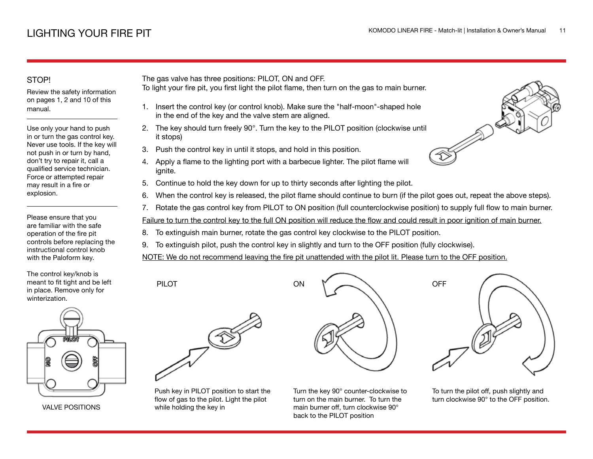### STOP!

Review the safety information on pages 1, 2 and 10 of this manual.

Use only your hand to push in or turn the gas control key. Never use tools. If the key will not push in or turn by hand, don't try to repair it, call a qualified service technician. Force or attempted repair may result in a fire or explosion.

Please ensure that you are familiar with the safe operation of the fire pit controls before replacing the instructional control knob with the Paloform key.

The control key/knob is meant to fit tight and be left in place. Remove only for winterization.



VALVE POSITIONS

The gas valve has three positions: PILOT, ON and OFF.

- To light your fire pit, you first light the pilot flame, then turn on the gas to main burner.
	- 1. Insert the control key (or control knob). Make sure the "half-moon"-shaped hole in the end of the key and the valve stem are aligned.
- 2. The key should turn freely 90°. Turn the key to the PILOT position (clockwise until it stops)
- 3. Push the control key in until it stops, and hold in this position.
- 4. Apply a flame to the lighting port with a barbecue lighter. The pilot flame will ignite.
- 5. Continue to hold the key down for up to thirty seconds after lighting the pilot.
- 6. When the control key is released, the pilot flame should continue to burn (if the pilot goes out, repeat the above steps).
- 7. Rotate the gas control key from PILOT to ON position (full counterclockwise position) to supply full flow to main burner.

Failure to turn the control key to the full ON position will reduce the flow and could result in poor ignition of main burner.

8. To extinguish main burner, rotate the gas control key clockwise to the PILOT position.

ON

9. To extinguish pilot, push the control key in slightly and turn to the OFF position (fully clockwise).

NOTE: We do not recommend leaving the fire pit unattended with the pilot lit. Please turn to the OFF position.

PILOT



Push key in PILOT position to start the flow of gas to the pilot. Light the pilot while holding the key in

Turn the key 90° counter-clockwise to turn on the main burner. To turn the main burner off, turn clockwise 90° back to the PILOT position



To turn the pilot off, push slightly and turn clockwise 90° to the OFF position.

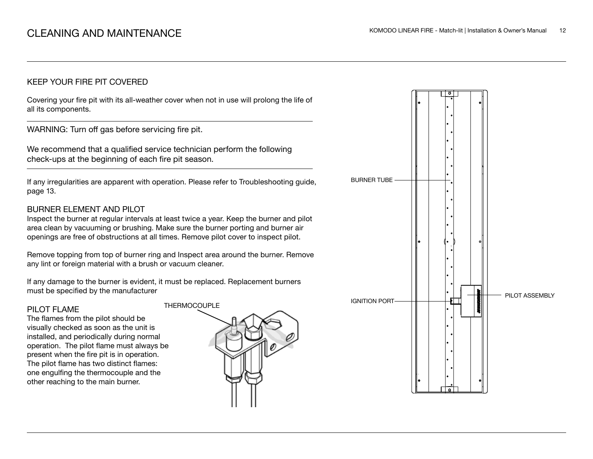### KEEP YOUR FIRE PIT COVERED

Covering your fire pit with its all-weather cover when not in use will prolong the life of all its components.

WARNING: Turn off gas before servicing fire pit.

We recommend that a qualified service technician perform the following check-ups at the beginning of each fire pit season.

If any irregularities are apparent with operation. Please refer to Troubleshooting guide, page 13.

### BURNER ELEMENT AND PILOT

Inspect the burner at regular intervals at least twice a year. Keep the burner and pilot area clean by vacuuming or brushing. Make sure the burner porting and burner air openings are free of obstructions at all times. Remove pilot cover to inspect pilot.

Remove topping from top of burner ring and Inspect area around the burner. Remove any lint or foreign material with a brush or vacuum cleaner.

If any damage to the burner is evident, it must be replaced. Replacement burners must be specified by the manufacturer

#### PILOT FLAME

The flames from the pilot should be visually checked as soon as the unit is installed, and periodically during normal operation. The pilot flame must always be present when the fire pit is in operation. The pilot flame has two distinct flames: one engulfing the thermocouple and the other reaching to the main burner.



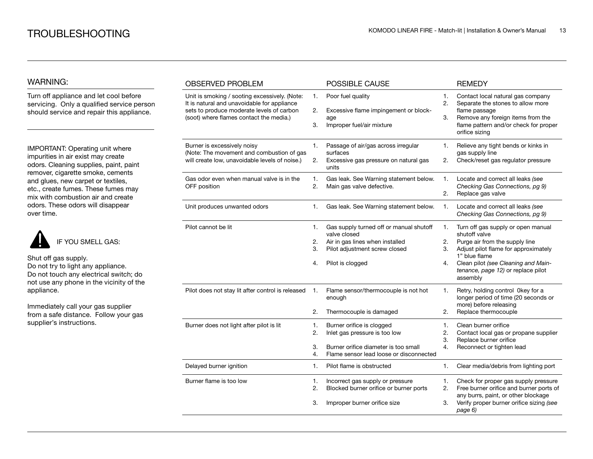### WARNING:

Turn off appliance and let cool before servicing. Only a qualified service person should service and repair this appliance.

IMPORTANT: Operating unit where impurities in air exist may create odors. Cleaning supplies, paint, paint remover, cigarette smoke, cements and glues, new carpet or textiles, etc., create fumes. These fumes may mix with combustion air and create odors. These odors will disappear over time.



Shut off gas supply. Do not try to light any appliance. Do not touch any electrical switch; do not use any phone in the vicinity of the appliance.

Immediately call your gas supplier from a safe distance. Follow your gas supplier's instructions.

| <b>OBSERVED PROBLEM</b>                                                                                                                                                              |                      | POSSIBLE CAUSE                                                                                                                                  |                      | <b>REMEDY</b>                                                                                                                                                                                                                           |
|--------------------------------------------------------------------------------------------------------------------------------------------------------------------------------------|----------------------|-------------------------------------------------------------------------------------------------------------------------------------------------|----------------------|-----------------------------------------------------------------------------------------------------------------------------------------------------------------------------------------------------------------------------------------|
| Unit is smoking / sooting excessively. (Note:<br>It is natural and unavoidable for appliance<br>sets to produce moderate levels of carbon<br>(soot) where flames contact the media.) | 1.<br>2.<br>3.       | Poor fuel quality<br>Excessive flame impingement or block-<br>age<br>Improper fuel/air mixture                                                  | 1.<br>2.<br>3.       | Contact local natural gas company<br>Separate the stones to allow more<br>flame passage<br>Remove any foreign items from the<br>flame pattern and/or check for proper<br>orifice sizing                                                 |
| Burner is excessively noisy<br>(Note: The movement and combustion of gas<br>will create low, unavoidable levels of noise.)                                                           | 1.<br>2.             | Passage of air/gas across irregular<br>surfaces<br>Excessive gas pressure on natural gas<br>units                                               | 1.<br>2.             | Relieve any tight bends or kinks in<br>gas supply line<br>Check/reset gas regulator pressure                                                                                                                                            |
| Gas odor even when manual valve is in the<br>OFF position                                                                                                                            | 1.<br>2.             | Gas leak. See Warning statement below.<br>Main gas valve defective.                                                                             | 1.<br>2.             | Locate and correct all leaks (see<br>Checking Gas Connections, pg 9)<br>Replace gas valve                                                                                                                                               |
| Unit produces unwanted odors                                                                                                                                                         | 1.                   | Gas leak. See Warning statement below.                                                                                                          | 1.                   | Locate and correct all leaks (see<br>Checking Gas Connections, pg 9)                                                                                                                                                                    |
| Pilot cannot be lit                                                                                                                                                                  | 1.<br>2.<br>3.<br>4. | Gas supply turned off or manual shutoff<br>valve closed<br>Air in gas lines when installed<br>Pilot adjustment screw closed<br>Pilot is clogged | 1.<br>2.<br>3.<br>4. | Turn off gas supply or open manual<br>shutoff valve<br>Purge air from the supply line<br>Adjust pilot flame for approximately<br>1" blue flame<br>Clean pilot (see Cleaning and Main-<br>tenance, page 12) or replace pilot<br>assembly |
| Pilot does not stay lit after control is released                                                                                                                                    | 1.<br>2.             | Flame sensor/thermocouple is not hot<br>enough<br>Thermocouple is damaged                                                                       | 1.<br>2.             | Retry, holding control 0key for a<br>longer period of time (20 seconds or<br>more) before releasing<br>Replace thermocouple                                                                                                             |
| Burner does not light after pilot is lit                                                                                                                                             | 1.<br>2.<br>3.<br>4. | Burner orifice is clogged<br>Inlet gas pressure is too low<br>Burner orifice diameter is too small<br>Flame sensor lead loose or disconnected   | 1.<br>2.<br>3.<br>4. | Clean burner orifice<br>Contact local gas or propane supplier<br>Replace burner orifice<br>Reconnect or tighten lead                                                                                                                    |
| Delayed burner ignition                                                                                                                                                              | 1.                   | Pilot flame is obstructed                                                                                                                       | 1.                   | Clear media/debris from lighting port                                                                                                                                                                                                   |
| Burner flame is too low                                                                                                                                                              | 1.<br>2.<br>3.       | Incorrect gas supply or pressure<br>Blocked burner orifice or burner ports<br>Improper burner orifice size                                      | 1.<br>2.<br>3.       | Check for proper gas supply pressure<br>Free burner orifice and burner ports of<br>any burrs, paint, or other blockage<br>Verify proper burner orifice sizing (see<br>page 6)                                                           |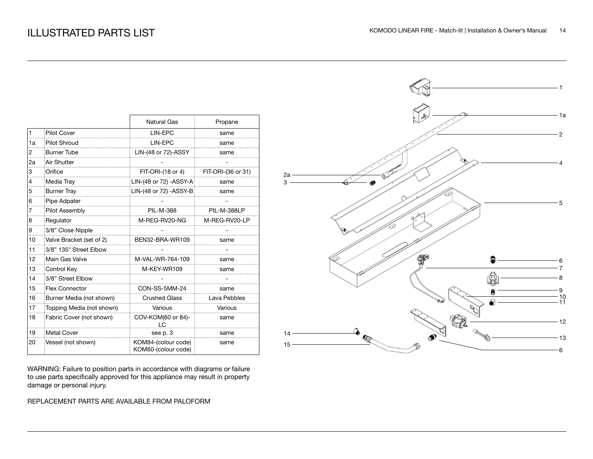|    |                           | Natural Gas                                | Propane            |
|----|---------------------------|--------------------------------------------|--------------------|
| 1  | Pilot Cover               | LIN-EPC                                    | same               |
| 1a | Pilot Shroud              | LIN-EPC                                    | same               |
| 2  | <b>Burner Tube</b>        | LIN-(48 or 72)-ASSY                        | same               |
| 2a | Air Shutter               |                                            |                    |
| 3  | Orifice                   | $FIT-ORI-(18 or 4)$                        | FIT-ORI-(36 or 31) |
| 4  | Media Tray                | LIN-(48 or 72) - ASSY-A                    | same               |
| 5  | <b>Burner Tray</b>        | LIN-(48 or 72) - ASSY-B                    | same               |
| 6  | Pipe Adpater              |                                            |                    |
| 7  | Pilot Assembly            | <b>PIL-M-388</b>                           | PIL-M-388LP        |
| 8  | Regulator                 | M-REG-RV20-NG                              | M-REG-RV20-LP      |
| 9  | 3/8" Close Nipple         |                                            |                    |
| 10 | Valve Bracket (set of 2)  | BEN32-BRA-WR109                            | same               |
| 11 | 3/8" 135° Street Elbow    |                                            |                    |
| 12 | Main Gas Valve            | M-VAL-WR-764-109                           | same               |
| 13 | Control Key               | M-KEY-WR109                                | same               |
| 14 | 3/8" Street Elbow         |                                            |                    |
| 15 | <b>Flex Connector</b>     | CON-SS-5MM-24                              | same               |
| 16 | Burner Media (not shown)  | <b>Crushed Glass</b>                       | Lava Pebbles       |
| 17 | Topping Media (not shown) | Various                                    | Various            |
| 18 | Fabric Cover (not shown)  | COV-KOM(60 or 84)-<br>۱C.                  | same               |
| 19 | Metal Cover               | see p. 3                                   | same               |
| 20 | Vessel (not shown)        | KOM84-(colour code)<br>KOM60-(colour code) | same               |

WARNING: Failure to position parts in accordance with diagrams or failure to use parts specifically approved for this appliance may result in property damage or personal injury.

### REPLACEMENT PARTS ARE AVAILABLE FROM PALOFORM